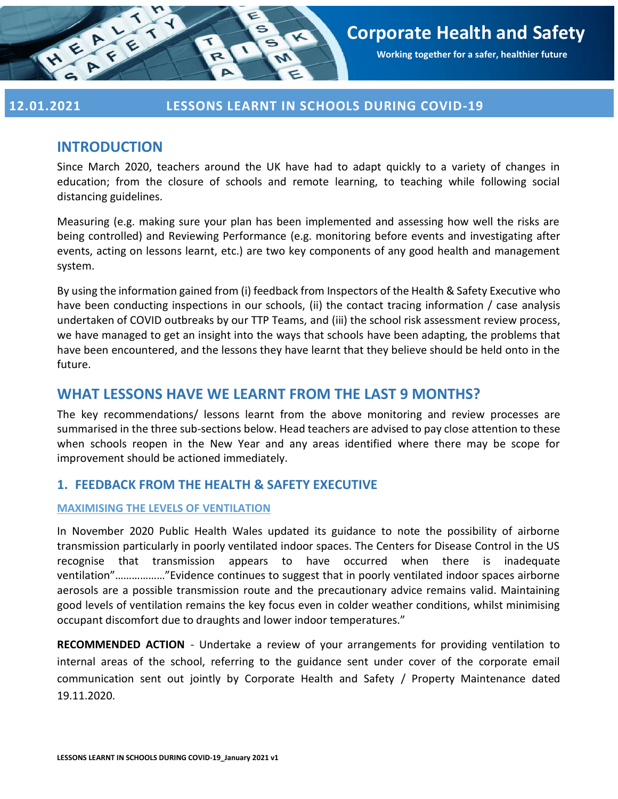

 **Working together for a safer, healthier future**

### **12.01.2021 LESSONS LEARNT IN SCHOOLS DURING COVID-19**

# **INTRODUCTION**

Since March 2020, teachers around the UK have had to adapt quickly to a variety of changes in education; from the closure of schools and remote learning, to teaching while following social distancing guidelines.

Measuring (e.g. making sure your plan has been implemented and assessing how well the risks are being controlled) and Reviewing Performance (e.g. monitoring before events and investigating after events, acting on lessons learnt, etc.) are two key components of any good health and management system.

By using the information gained from (i) feedback from Inspectors of the Health & Safety Executive who have been conducting inspections in our schools, (ii) the contact tracing information / case analysis undertaken of COVID outbreaks by our TTP Teams, and (iii) the school risk assessment review process, we have managed to get an insight into the ways that schools have been adapting, the problems that have been encountered, and the lessons they have learnt that they believe should be held onto in the future.

# **WHAT LESSONS HAVE WE LEARNT FROM THE LAST 9 MONTHS?**

The key recommendations/ lessons learnt from the above monitoring and review processes are summarised in the three sub-sections below. Head teachers are advised to pay close attention to these when schools reopen in the New Year and any areas identified where there may be scope for improvement should be actioned immediately.

### **1. FEEDBACK FROM THE HEALTH & SAFETY EXECUTIVE**

#### **MAXIMISING THE LEVELS OF VENTILATION**

In November 2020 Public Health Wales updated its guidance to note the possibility of airborne transmission particularly in poorly ventilated indoor spaces. The Centers for Disease Control in the US recognise that transmission appears to have occurred when there is inadequate ventilation"………………"Evidence continues to suggest that in poorly ventilated indoor spaces airborne aerosols are a possible transmission route and the precautionary advice remains valid. Maintaining good levels of ventilation remains the key focus even in colder weather conditions, whilst minimising occupant discomfort due to draughts and lower indoor temperatures."

**RECOMMENDED ACTION** - Undertake a review of your arrangements for providing ventilation to internal areas of the school, referring to the guidance sent under cover of the corporate email communication sent out jointly by Corporate Health and Safety / Property Maintenance dated 19.11.2020.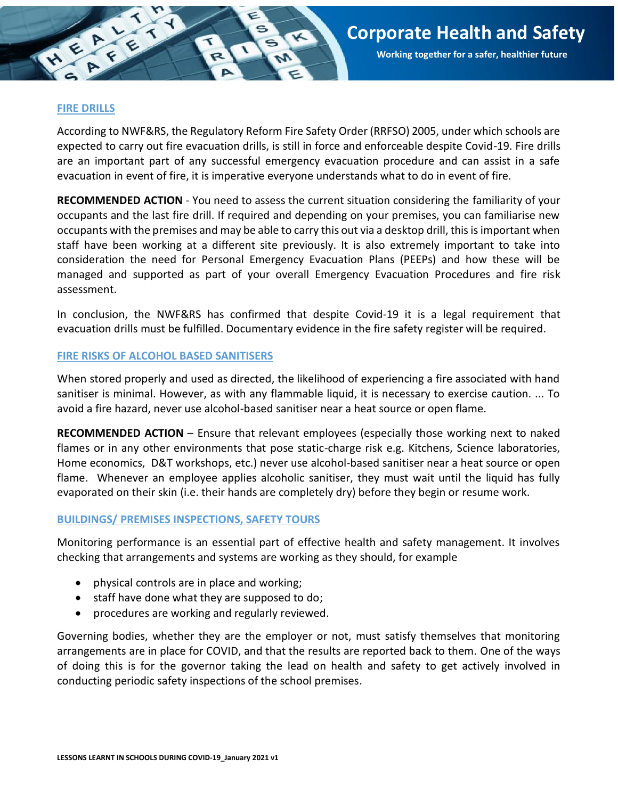

#### **FIRE DRILLS**

According to NWF&RS, the Regulatory Reform Fire Safety Order (RRFSO) 2005, under which schools are expected to carry out fire evacuation drills, is still in force and enforceable despite Covid-19. Fire drills are an important part of any successful emergency evacuation procedure and can assist in a safe evacuation in event of fire, it is imperative everyone understands what to do in event of fire.

**RECOMMENDED ACTION** - You need to assess the current situation considering the familiarity of your occupants and the last fire drill. If required and depending on your premises, you can familiarise new occupants with the premises and may be able to carry this out via a desktop drill, this is important when staff have been working at a different site previously. It is also extremely important to take into consideration the need for Personal Emergency Evacuation Plans (PEEPs) and how these will be managed and supported as part of your overall Emergency Evacuation Procedures and fire risk assessment.

In conclusion, the NWF&RS has confirmed that despite Covid-19 it is a legal requirement that evacuation drills must be fulfilled. Documentary evidence in the fire safety register will be required.

#### **FIRE RISKS OF ALCOHOL BASED SANITISERS**

When stored properly and used as directed, the likelihood of experiencing a fire associated with hand sanitiser is minimal. However, as with any flammable liquid, it is necessary to exercise caution. ... To avoid a fire hazard, never use alcohol-based sanitiser near a heat source or open flame.

**RECOMMENDED ACTION** – Ensure that relevant employees (especially those working next to naked flames or in any other environments that pose static-charge risk e.g. Kitchens, Science laboratories, Home economics, D&T workshops, etc.) never use alcohol-based sanitiser near a heat source or open flame. Whenever an employee applies alcoholic sanitiser, they must wait until the liquid has fully evaporated on their skin (i.e. their hands are completely dry) before they begin or resume work.

#### **BUILDINGS/ PREMISES INSPECTIONS, SAFETY TOURS**

Monitoring performance is an essential part of effective health and safety management. It involves checking that arrangements and systems are working as they should, for example

- physical controls are in place and working;
- staff have done what they are supposed to do;
- procedures are working and regularly reviewed.

Governing bodies, whether they are the employer or not, must satisfy themselves that monitoring arrangements are in place for COVID, and that the results are reported back to them. One of the ways of doing this is for the governor taking the lead on health and safety to get actively involved in conducting periodic safety inspections of the school premises.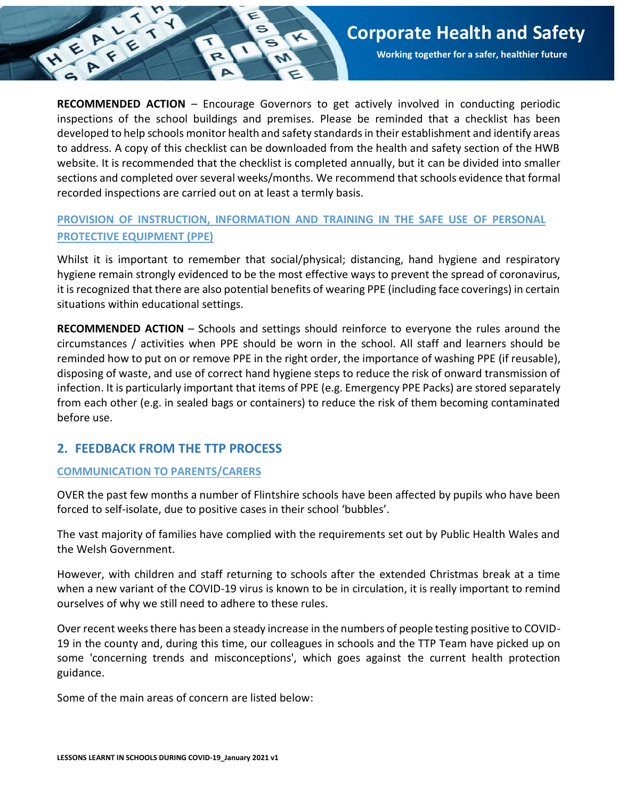

**RECOMMENDED ACTION** – Encourage Governors to get actively involved in conducting periodic inspections of the school buildings and premises. Please be reminded that a checklist has been developed to help schools monitor health and safety standards in their establishment and identify areas to address. A copy of this checklist can be downloaded from the health and safety section of the HWB website. It is recommended that the checklist is completed annually, but it can be divided into smaller sections and completed over several weeks/months. We recommend that schools evidence that formal recorded inspections are carried out on at least a termly basis.

### **PROVISION OF INSTRUCTION, INFORMATION AND TRAINING IN THE SAFE USE OF PERSONAL PROTECTIVE EQUIPMENT (PPE)**

Whilst it is important to remember that social/physical; distancing, hand hygiene and respiratory hygiene remain strongly evidenced to be the most effective ways to prevent the spread of coronavirus, it is recognized that there are also potential benefits of wearing PPE (including face coverings) in certain situations within educational settings.

**RECOMMENDED ACTION** – Schools and settings should reinforce to everyone the rules around the circumstances / activities when PPE should be worn in the school. All staff and learners should be reminded how to put on or remove PPE in the right order, the importance of washing PPE (if reusable), disposing of waste, and use of correct hand hygiene steps to reduce the risk of onward transmission of infection. It is particularly important that items of PPE (e.g. Emergency PPE Packs) are stored separately from each other (e.g. in sealed bags or containers) to reduce the risk of them becoming contaminated before use.

# **2. FEEDBACK FROM THE TTP PROCESS**

### **COMMUNICATION TO PARENTS/CARERS**

OVER the past few months a number of Flintshire schools have been affected by pupils who have been forced to self-isolate, due to positive cases in their school 'bubbles'.

The vast majority of families have complied with the requirements set out by Public Health Wales and the Welsh Government.

However, with children and staff returning to schools after the extended Christmas break at a time when a new variant of the COVID-19 virus is known to be in circulation, it is really important to remind ourselves of why we still need to adhere to these rules.

Over recent weeks there has been a steady increase in the numbers of people testing positive to COVID-19 in the county and, during this time, our colleagues in schools and the TTP Team have picked up on some 'concerning trends and misconceptions', which goes against the current health protection guidance.

Some of the main areas of concern are listed below: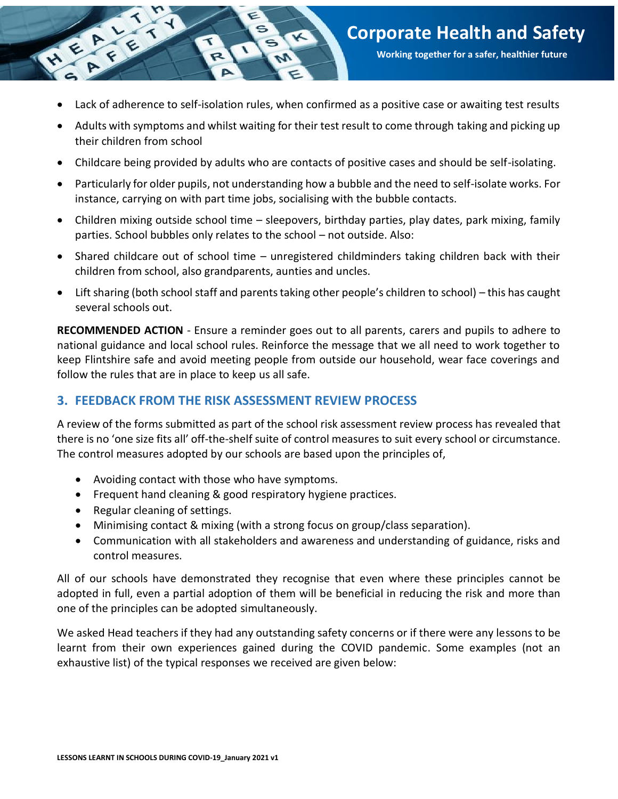

- Lack of adherence to self-isolation rules, when confirmed as a positive case or awaiting test results
- Adults with symptoms and whilst waiting for their test result to come through taking and picking up their children from school
- Childcare being provided by adults who are contacts of positive cases and should be self-isolating.
- Particularly for older pupils, not understanding how a bubble and the need to self-isolate works. For instance, carrying on with part time jobs, socialising with the bubble contacts.
- Children mixing outside school time sleepovers, birthday parties, play dates, park mixing, family parties. School bubbles only relates to the school – not outside. Also:
- Shared childcare out of school time unregistered childminders taking children back with their children from school, also grandparents, aunties and uncles.
- Lift sharing (both school staff and parents taking other people's children to school) this has caught several schools out.

**RECOMMENDED ACTION** - Ensure a reminder goes out to all parents, carers and pupils to adhere to national guidance and local school rules. Reinforce the message that we all need to work together to keep Flintshire safe and avoid meeting people from outside our household, wear face coverings and follow the rules that are in place to keep us all safe.

# **3. FEEDBACK FROM THE RISK ASSESSMENT REVIEW PROCESS**

A review of the forms submitted as part of the school risk assessment review process has revealed that there is no 'one size fits all' off-the-shelf suite of control measures to suit every school or circumstance. The control measures adopted by our schools are based upon the principles of,

- Avoiding contact with those who have symptoms.
- Frequent hand cleaning & good respiratory hygiene practices.
- Regular cleaning of settings.
- Minimising contact & mixing (with a strong focus on group/class separation).
- Communication with all stakeholders and awareness and understanding of guidance, risks and control measures.

All of our schools have demonstrated they recognise that even where these principles cannot be adopted in full, even a partial adoption of them will be beneficial in reducing the risk and more than one of the principles can be adopted simultaneously.

We asked Head teachers if they had any outstanding safety concerns or if there were any lessons to be learnt from their own experiences gained during the COVID pandemic. Some examples (not an exhaustive list) of the typical responses we received are given below: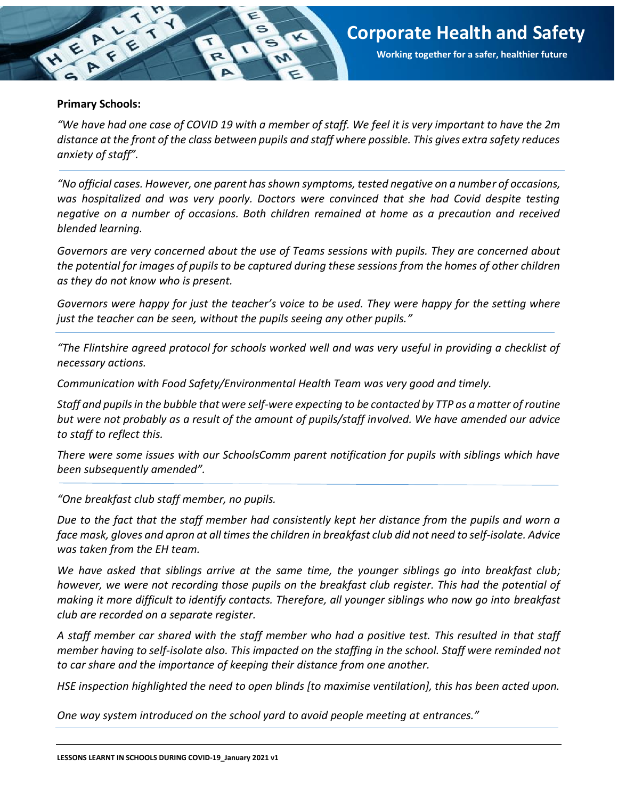

### **Primary Schools:**

*"We have had one case of COVID 19 with a member of staff. We feel it is very important to have the 2m distance at the front of the class between pupils and staff where possible. This gives extra safety reduces anxiety of staff".*

*"No official cases. However, one parent has shown symptoms, tested negative on a number of occasions,*  was hospitalized and was very poorly. Doctors were convinced that she had Covid despite testing *negative on a number of occasions. Both children remained at home as a precaution and received blended learning.* 

*Governors are very concerned about the use of Teams sessions with pupils. They are concerned about the potential for images of pupils to be captured during these sessions from the homes of other children as they do not know who is present.* 

*Governors were happy for just the teacher's voice to be used. They were happy for the setting where just the teacher can be seen, without the pupils seeing any other pupils."*

*"The Flintshire agreed protocol for schools worked well and was very useful in providing a checklist of necessary actions.*

*Communication with Food Safety/Environmental Health Team was very good and timely.*

*Staff and pupils in the bubble that were self-were expecting to be contacted by TTP as a matter of routine but were not probably as a result of the amount of pupils/staff involved. We have amended our advice to staff to reflect this.*

*There were some issues with our SchoolsComm parent notification for pupils with siblings which have been subsequently amended".*

*"One breakfast club staff member, no pupils.*

*Due to the fact that the staff member had consistently kept her distance from the pupils and worn a face mask, gloves and apron at all times the children in breakfast club did not need to self-isolate. Advice was taken from the EH team.*

*We have asked that siblings arrive at the same time, the younger siblings go into breakfast club; however, we were not recording those pupils on the breakfast club register. This had the potential of making it more difficult to identify contacts. Therefore, all younger siblings who now go into breakfast club are recorded on a separate register.*

*A staff member car shared with the staff member who had a positive test. This resulted in that staff member having to self-isolate also. This impacted on the staffing in the school. Staff were reminded not to car share and the importance of keeping their distance from one another.* 

*HSE inspection highlighted the need to open blinds [to maximise ventilation], this has been acted upon.*

*One way system introduced on the school yard to avoid people meeting at entrances."*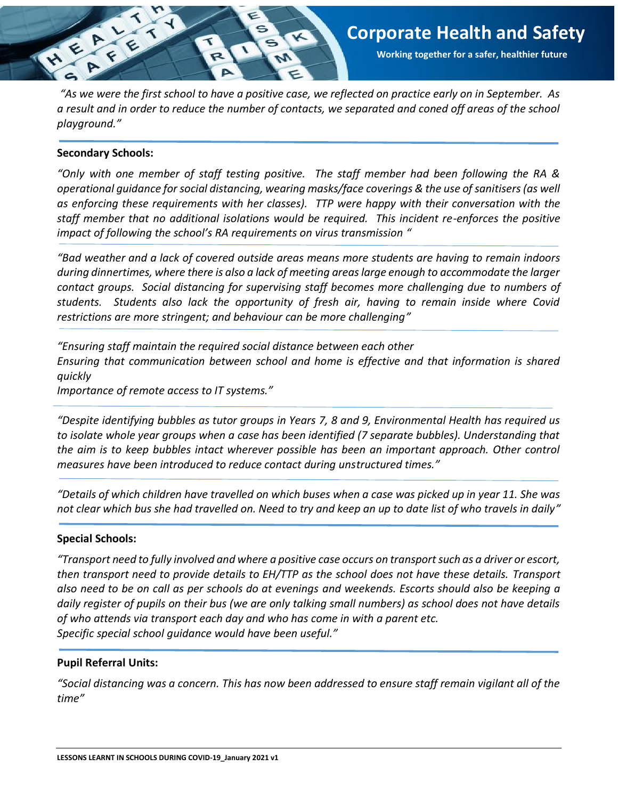

*"As we were the first school to have a positive case, we reflected on practice early on in September. As a result and in order to reduce the number of contacts, we separated and coned off areas of the school playground."*

### **Secondary Schools:**

*"Only with one member of staff testing positive. The staff member had been following the RA & operational guidance for social distancing, wearing masks/face coverings & the use of sanitisers (as well as enforcing these requirements with her classes). TTP were happy with their conversation with the staff member that no additional isolations would be required. This incident re-enforces the positive impact of following the school's RA requirements on virus transmission "*

*"Bad weather and a lack of covered outside areas means more students are having to remain indoors during dinnertimes, where there is also a lack of meeting areas large enough to accommodate the larger contact groups. Social distancing for supervising staff becomes more challenging due to numbers of students. Students also lack the opportunity of fresh air, having to remain inside where Covid restrictions are more stringent; and behaviour can be more challenging"*

*"Ensuring staff maintain the required social distance between each other Ensuring that communication between school and home is effective and that information is shared quickly*

*Importance of remote access to IT systems."*

*"Despite identifying bubbles as tutor groups in Years 7, 8 and 9, Environmental Health has required us to isolate whole year groups when a case has been identified (7 separate bubbles). Understanding that the aim is to keep bubbles intact wherever possible has been an important approach. Other control measures have been introduced to reduce contact during unstructured times."*

*"Details of which children have travelled on which buses when a case was picked up in year 11. She was not clear which bus she had travelled on. Need to try and keep an up to date list of who travels in daily"*

### **Special Schools:**

*"Transport need to fully involved and where a positive case occurs on transport such as a driver or escort, then transport need to provide details to EH/TTP as the school does not have these details. Transport also need to be on call as per schools do at evenings and weekends. Escorts should also be keeping a daily register of pupils on their bus (we are only talking small numbers) as school does not have details of who attends via transport each day and who has come in with a parent etc. Specific special school guidance would have been useful."*

#### **Pupil Referral Units:**

*"Social distancing was a concern. This has now been addressed to ensure staff remain vigilant all of the time"*